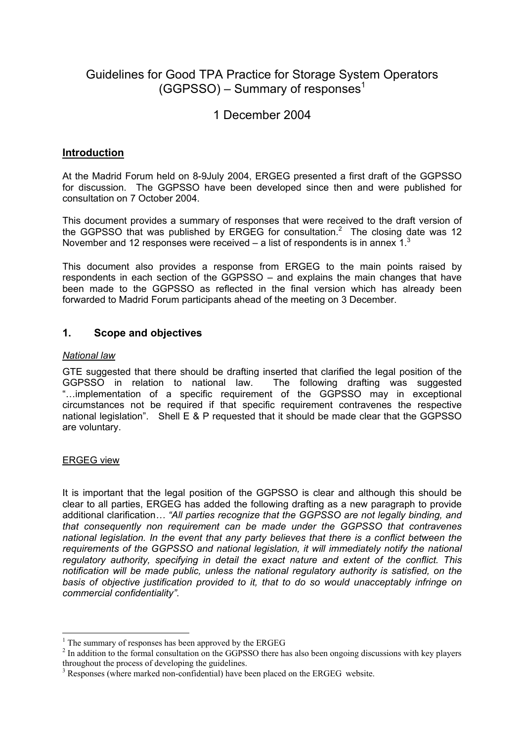# Guidelines for Good TPA Practice for Storage System Operators  $(GGPSSO)$  – Summary of responses<sup>1</sup>

# 1 December 2004

## **Introduction**

At the Madrid Forum held on 8-9July 2004, ERGEG presented a first draft of the GGPSSO for discussion. The GGPSSO have been developed since then and were published for consultation on 7 October 2004.

This document provides a summary of responses that were received to the draft version of the GGPSSO that was published by ERGEG for consultation.<sup>2</sup> The closing date was 12 November and 12 responses were received – a list of respondents is in annex  $1<sup>3</sup>$ 

This document also provides a response from ERGEG to the main points raised by respondents in each section of the GGPSSO – and explains the main changes that have been made to the GGPSSO as reflected in the final version which has already been forwarded to Madrid Forum participants ahead of the meeting on 3 December.

### **1. Scope and objectives**

### *National law*

GTE suggested that there should be drafting inserted that clarified the legal position of the GGPSSO in relation to national law. The following drafting was suggested "…implementation of a specific requirement of the GGPSSO may in exceptional circumstances not be required if that specific requirement contravenes the respective national legislation". Shell E & P requested that it should be made clear that the GGPSSO are voluntary.

### ERGEG view

 $\overline{a}$ 

It is important that the legal position of the GGPSSO is clear and although this should be clear to all parties, ERGEG has added the following drafting as a new paragraph to provide additional clarification*… "All parties recognize that the GGPSSO are not legally binding, and that consequently non requirement can be made under the GGPSSO that contravenes national legislation. In the event that any party believes that there is a conflict between the requirements of the GGPSSO and national legislation, it will immediately notify the national regulatory authority, specifying in detail the exact nature and extent of the conflict. This notification will be made public, unless the national regulatory authority is satisfied, on the basis of objective justification provided to it, that to do so would unacceptably infringe on commercial confidentiality"*.

<sup>&</sup>lt;sup>1</sup> The summary of responses has been approved by the ERGEG

 $2<sup>2</sup>$  In addition to the formal consultation on the GGPSSO there has also been ongoing discussions with key players throughout the process of developing the guidelines.

<sup>&</sup>lt;sup>3</sup> Responses (where marked non-confidential) have been placed on the ERGEG website.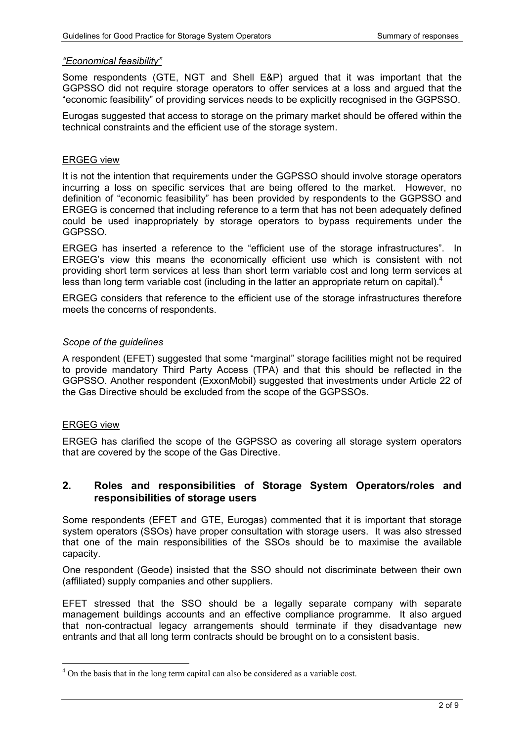### *"Economical feasibility"*

Some respondents (GTE, NGT and Shell E&P) argued that it was important that the GGPSSO did not require storage operators to offer services at a loss and argued that the "economic feasibility" of providing services needs to be explicitly recognised in the GGPSSO.

Eurogas suggested that access to storage on the primary market should be offered within the technical constraints and the efficient use of the storage system.

### ERGEG view

It is not the intention that requirements under the GGPSSO should involve storage operators incurring a loss on specific services that are being offered to the market. However, no definition of "economic feasibility" has been provided by respondents to the GGPSSO and ERGEG is concerned that including reference to a term that has not been adequately defined could be used inappropriately by storage operators to bypass requirements under the GGPSSO.

ERGEG has inserted a reference to the "efficient use of the storage infrastructures". In ERGEG's view this means the economically efficient use which is consistent with not providing short term services at less than short term variable cost and long term services at less than long term variable cost (including in the latter an appropriate return on capital).<sup>4</sup>

ERGEG considers that reference to the efficient use of the storage infrastructures therefore meets the concerns of respondents.

### *Scope of the guidelines*

A respondent (EFET) suggested that some "marginal" storage facilities might not be required to provide mandatory Third Party Access (TPA) and that this should be reflected in the GGPSSO. Another respondent (ExxonMobil) suggested that investments under Article 22 of the Gas Directive should be excluded from the scope of the GGPSSOs.

### ERGEG view

 $\overline{a}$ 

ERGEG has clarified the scope of the GGPSSO as covering all storage system operators that are covered by the scope of the Gas Directive.

### **2. Roles and responsibilities of Storage System Operators/roles and responsibilities of storage users**

Some respondents (EFET and GTE, Eurogas) commented that it is important that storage system operators (SSOs) have proper consultation with storage users. It was also stressed that one of the main responsibilities of the SSOs should be to maximise the available capacity.

One respondent (Geode) insisted that the SSO should not discriminate between their own (affiliated) supply companies and other suppliers.

EFET stressed that the SSO should be a legally separate company with separate management buildings accounts and an effective compliance programme. It also argued that non-contractual legacy arrangements should terminate if they disadvantage new entrants and that all long term contracts should be brought on to a consistent basis.

<sup>&</sup>lt;sup>4</sup> On the basis that in the long term capital can also be considered as a variable cost.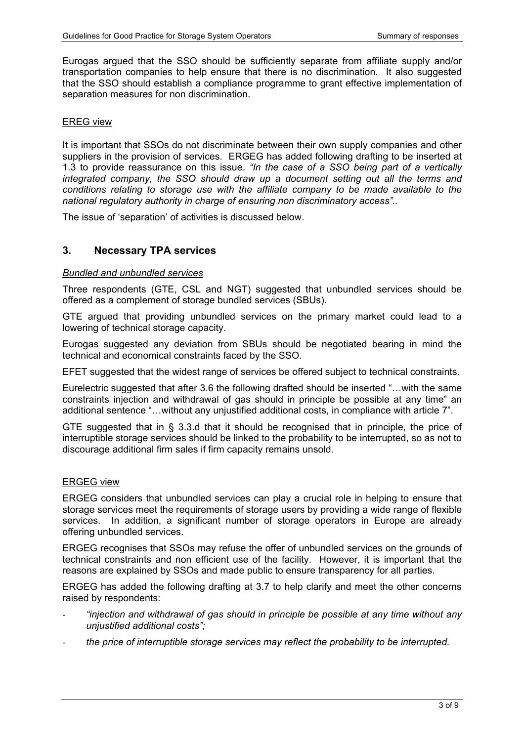Eurogas argued that the SSO should be sufficiently separate from affiliate supply and/or transportation companies to help ensure that there is no discrimination. It also suggested that the SSO should establish a compliance programme to grant effective implementation of separation measures for non discrimination.

### EREG view

It is important that SSOs do not discriminate between their own supply companies and other suppliers in the provision of services. ERGEG has added following drafting to be inserted at 1.3 to provide reassurance on this issue. *"In the case of a SSO being part of a vertically integrated company, the SSO should draw up a document setting out all the terms and conditions relating to storage use with the affiliate company to be made available to the national regulatory authority in charge of ensuring non discriminatory access"..* 

The issue of 'separation' of activities is discussed below.

### **3. Necessary TPA services**

### *Bundled and unbundled services*

Three respondents (GTE, CSL and NGT) suggested that unbundled services should be offered as a complement of storage bundled services (SBUs).

GTE argued that providing unbundled services on the primary market could lead to a lowering of technical storage capacity.

Eurogas suggested any deviation from SBUs should be negotiated bearing in mind the technical and economical constraints faced by the SSO.

EFET suggested that the widest range of services be offered subject to technical constraints.

Eurelectric suggested that after 3.6 the following drafted should be inserted "…with the same constraints injection and withdrawal of gas should in principle be possible at any time" an additional sentence "…without any unjustified additional costs, in compliance with article 7".

GTE suggested that in § 3.3.d that it should be recognised that in principle, the price of interruptible storage services should be linked to the probability to be interrupted, so as not to discourage additional firm sales if firm capacity remains unsold.

#### ERGEG view

ERGEG considers that unbundled services can play a crucial role in helping to ensure that storage services meet the requirements of storage users by providing a wide range of flexible services. In addition, a significant number of storage operators in Europe are already offering unbundled services.

ERGEG recognises that SSOs may refuse the offer of unbundled services on the grounds of technical constraints and non efficient use of the facility. However, it is important that the reasons are explained by SSOs and made public to ensure transparency for all parties.

ERGEG has added the following drafting at 3.7 to help clarify and meet the other concerns raised by respondents:

- *"injection and withdrawal of gas should in principle be possible at any time without any unjustified additional costs";*
- *the price of interruptible storage services may reflect the probability to be interrupted.*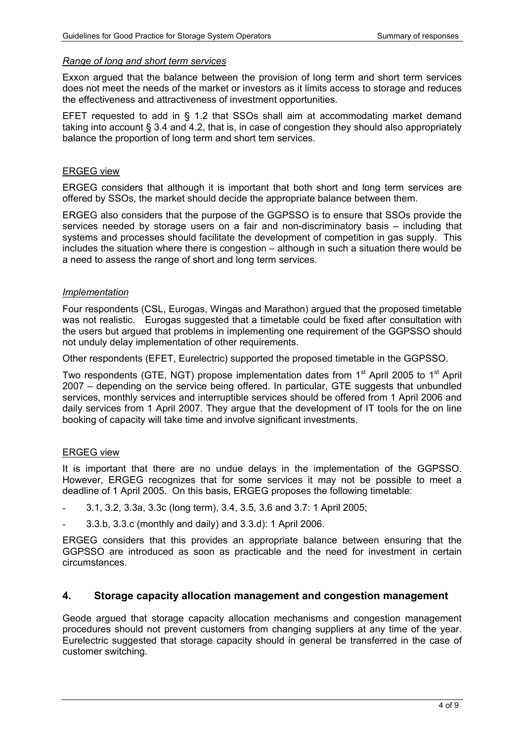#### *Range of long and short term services*

Exxon argued that the balance between the provision of long term and short term services does not meet the needs of the market or investors as it limits access to storage and reduces the effectiveness and attractiveness of investment opportunities.

EFET requested to add in § 1.2 that SSOs shall aim at accommodating market demand taking into account § 3.4 and 4.2, that is, in case of congestion they should also appropriately balance the proportion of long term and short tem services.

### ERGEG view

ERGEG considers that although it is important that both short and long term services are offered by SSOs, the market should decide the appropriate balance between them.

ERGEG also considers that the purpose of the GGPSSO is to ensure that SSOs provide the services needed by storage users on a fair and non-discriminatory basis – including that systems and processes should facilitate the development of competition in gas supply. This includes the situation where there is congestion – although in such a situation there would be a need to assess the range of short and long term services.

### *Implementation*

Four respondents (CSL, Eurogas, Wingas and Marathon) argued that the proposed timetable was not realistic. Eurogas suggested that a timetable could be fixed after consultation with the users but argued that problems in implementing one requirement of the GGPSSO should not unduly delay implementation of other requirements.

Other respondents (EFET, Eurelectric) supported the proposed timetable in the GGPSSO.

Two respondents (GTE, NGT) propose implementation dates from 1<sup>st</sup> April 2005 to 1<sup>st</sup> April 2007 – depending on the service being offered. In particular, GTE suggests that unbundled services, monthly services and interruptible services should be offered from 1 April 2006 and daily services from 1 April 2007. They argue that the development of IT tools for the on line booking of capacity will take time and involve significant investments.

### ERGEG view

It is important that there are no undue delays in the implementation of the GGPSSO. However, ERGEG recognizes that for some services it may not be possible to meet a deadline of 1 April 2005. On this basis, ERGEG proposes the following timetable:

- 3.1, 3.2, 3.3a, 3.3c (long term), 3.4, 3.5, 3.6 and 3.7: 1 April 2005;
- 3.3.b, 3.3.c (monthly and daily) and 3.3.d): 1 April 2006.

ERGEG considers that this provides an appropriate balance between ensuring that the GGPSSO are introduced as soon as practicable and the need for investment in certain circumstances.

### **4. Storage capacity allocation management and congestion management**

Geode argued that storage capacity allocation mechanisms and congestion management procedures should not prevent customers from changing suppliers at any time of the year. Eurelectric suggested that storage capacity should in general be transferred in the case of customer switching.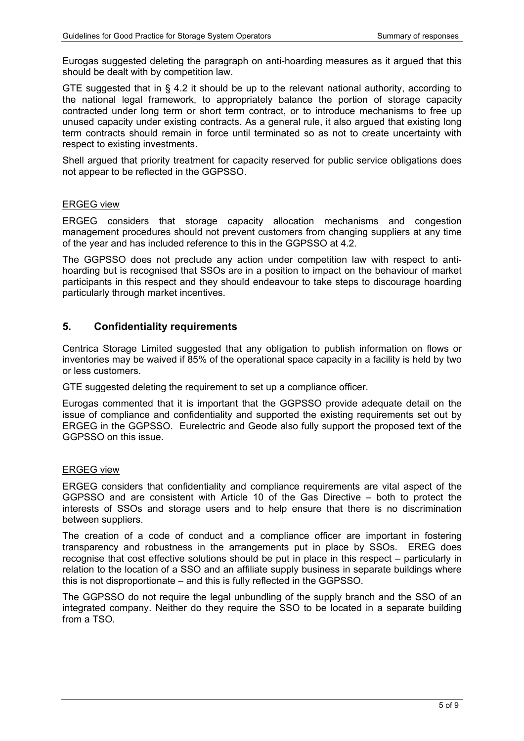Eurogas suggested deleting the paragraph on anti-hoarding measures as it argued that this should be dealt with by competition law.

GTE suggested that in § 4.2 it should be up to the relevant national authority, according to the national legal framework, to appropriately balance the portion of storage capacity contracted under long term or short term contract, or to introduce mechanisms to free up unused capacity under existing contracts. As a general rule, it also argued that existing long term contracts should remain in force until terminated so as not to create uncertainty with respect to existing investments.

Shell argued that priority treatment for capacity reserved for public service obligations does not appear to be reflected in the GGPSSO.

### ERGEG view

ERGEG considers that storage capacity allocation mechanisms and congestion management procedures should not prevent customers from changing suppliers at any time of the year and has included reference to this in the GGPSSO at 4.2.

The GGPSSO does not preclude any action under competition law with respect to antihoarding but is recognised that SSOs are in a position to impact on the behaviour of market participants in this respect and they should endeavour to take steps to discourage hoarding particularly through market incentives.

### **5. Confidentiality requirements**

Centrica Storage Limited suggested that any obligation to publish information on flows or inventories may be waived if 85% of the operational space capacity in a facility is held by two or less customers.

GTE suggested deleting the requirement to set up a compliance officer.

Eurogas commented that it is important that the GGPSSO provide adequate detail on the issue of compliance and confidentiality and supported the existing requirements set out by ERGEG in the GGPSSO. Eurelectric and Geode also fully support the proposed text of the GGPSSO on this issue.

### ERGEG view

ERGEG considers that confidentiality and compliance requirements are vital aspect of the GGPSSO and are consistent with Article 10 of the Gas Directive – both to protect the interests of SSOs and storage users and to help ensure that there is no discrimination between suppliers.

The creation of a code of conduct and a compliance officer are important in fostering transparency and robustness in the arrangements put in place by SSOs. EREG does recognise that cost effective solutions should be put in place in this respect – particularly in relation to the location of a SSO and an affiliate supply business in separate buildings where this is not disproportionate – and this is fully reflected in the GGPSSO.

The GGPSSO do not require the legal unbundling of the supply branch and the SSO of an integrated company. Neither do they require the SSO to be located in a separate building from a TSO.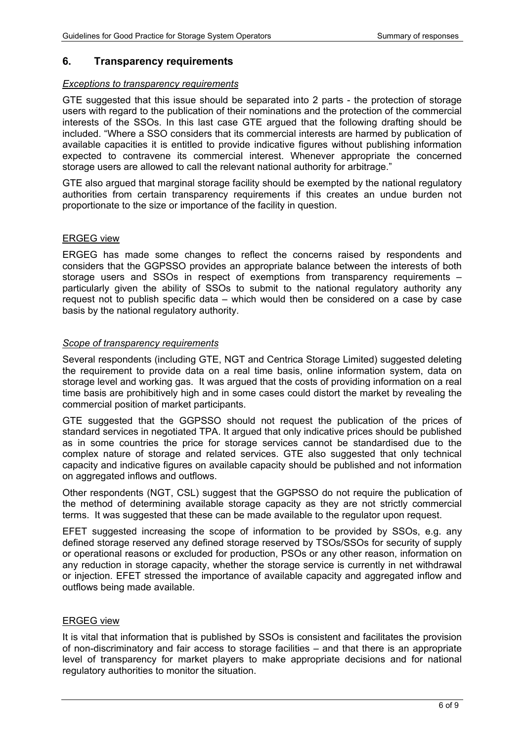### **6. Transparency requirements**

#### *Exceptions to transparency requirements*

GTE suggested that this issue should be separated into 2 parts - the protection of storage users with regard to the publication of their nominations and the protection of the commercial interests of the SSOs. In this last case GTE argued that the following drafting should be included. "Where a SSO considers that its commercial interests are harmed by publication of available capacities it is entitled to provide indicative figures without publishing information expected to contravene its commercial interest. Whenever appropriate the concerned storage users are allowed to call the relevant national authority for arbitrage."

GTE also argued that marginal storage facility should be exempted by the national regulatory authorities from certain transparency requirements if this creates an undue burden not proportionate to the size or importance of the facility in question.

### ERGEG view

ERGEG has made some changes to reflect the concerns raised by respondents and considers that the GGPSSO provides an appropriate balance between the interests of both storage users and SSOs in respect of exemptions from transparency requirements – particularly given the ability of SSOs to submit to the national regulatory authority any request not to publish specific data – which would then be considered on a case by case basis by the national regulatory authority.

### *Scope of transparency requirements*

Several respondents (including GTE, NGT and Centrica Storage Limited) suggested deleting the requirement to provide data on a real time basis, online information system, data on storage level and working gas. It was argued that the costs of providing information on a real time basis are prohibitively high and in some cases could distort the market by revealing the commercial position of market participants.

GTE suggested that the GGPSSO should not request the publication of the prices of standard services in negotiated TPA. It argued that only indicative prices should be published as in some countries the price for storage services cannot be standardised due to the complex nature of storage and related services. GTE also suggested that only technical capacity and indicative figures on available capacity should be published and not information on aggregated inflows and outflows.

Other respondents (NGT, CSL) suggest that the GGPSSO do not require the publication of the method of determining available storage capacity as they are not strictly commercial terms. It was suggested that these can be made available to the regulator upon request.

EFET suggested increasing the scope of information to be provided by SSOs, e.g. any defined storage reserved any defined storage reserved by TSOs/SSOs for security of supply or operational reasons or excluded for production, PSOs or any other reason, information on any reduction in storage capacity, whether the storage service is currently in net withdrawal or injection. EFET stressed the importance of available capacity and aggregated inflow and outflows being made available.

### ERGEG view

It is vital that information that is published by SSOs is consistent and facilitates the provision of non-discriminatory and fair access to storage facilities – and that there is an appropriate level of transparency for market players to make appropriate decisions and for national regulatory authorities to monitor the situation.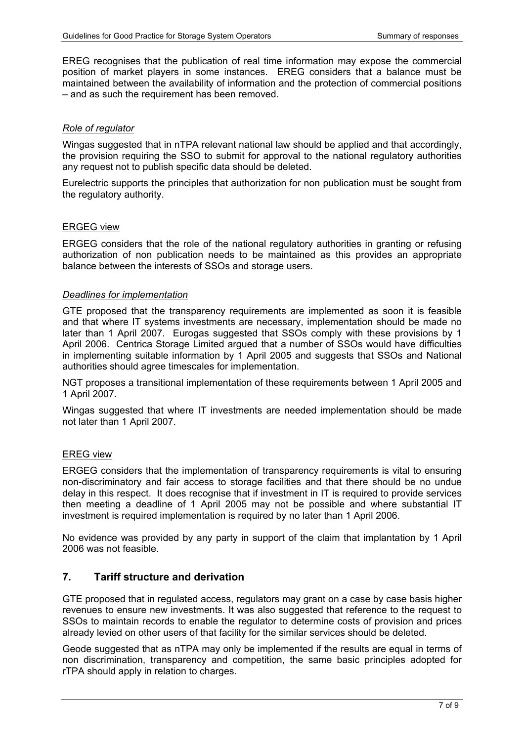EREG recognises that the publication of real time information may expose the commercial position of market players in some instances. EREG considers that a balance must be maintained between the availability of information and the protection of commercial positions – and as such the requirement has been removed.

### *Role of regulator*

Wingas suggested that in nTPA relevant national law should be applied and that accordingly, the provision requiring the SSO to submit for approval to the national regulatory authorities any request not to publish specific data should be deleted.

Eurelectric supports the principles that authorization for non publication must be sought from the regulatory authority.

### ERGEG view

ERGEG considers that the role of the national regulatory authorities in granting or refusing authorization of non publication needs to be maintained as this provides an appropriate balance between the interests of SSOs and storage users.

### *Deadlines for implementation*

GTE proposed that the transparency requirements are implemented as soon it is feasible and that where IT systems investments are necessary, implementation should be made no later than 1 April 2007. Eurogas suggested that SSOs comply with these provisions by 1 April 2006. Centrica Storage Limited argued that a number of SSOs would have difficulties in implementing suitable information by 1 April 2005 and suggests that SSOs and National authorities should agree timescales for implementation.

NGT proposes a transitional implementation of these requirements between 1 April 2005 and 1 April 2007.

Wingas suggested that where IT investments are needed implementation should be made not later than 1 April 2007.

### EREG view

ERGEG considers that the implementation of transparency requirements is vital to ensuring non-discriminatory and fair access to storage facilities and that there should be no undue delay in this respect. It does recognise that if investment in IT is required to provide services then meeting a deadline of 1 April 2005 may not be possible and where substantial IT investment is required implementation is required by no later than 1 April 2006.

No evidence was provided by any party in support of the claim that implantation by 1 April 2006 was not feasible.

### **7. Tariff structure and derivation**

GTE proposed that in regulated access, regulators may grant on a case by case basis higher revenues to ensure new investments. It was also suggested that reference to the request to SSOs to maintain records to enable the regulator to determine costs of provision and prices already levied on other users of that facility for the similar services should be deleted.

Geode suggested that as nTPA may only be implemented if the results are equal in terms of non discrimination, transparency and competition, the same basic principles adopted for rTPA should apply in relation to charges.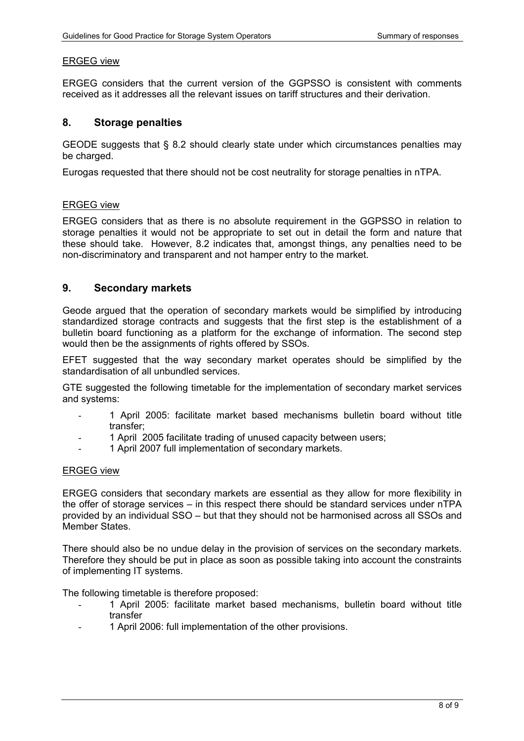### ERGEG view

ERGEG considers that the current version of the GGPSSO is consistent with comments received as it addresses all the relevant issues on tariff structures and their derivation*.* 

### **8. Storage penalties**

GEODE suggests that § 8.2 should clearly state under which circumstances penalties may be charged.

Eurogas requested that there should not be cost neutrality for storage penalties in nTPA.

### ERGEG view

ERGEG considers that as there is no absolute requirement in the GGPSSO in relation to storage penalties it would not be appropriate to set out in detail the form and nature that these should take. However, 8.2 indicates that, amongst things, any penalties need to be non-discriminatory and transparent and not hamper entry to the market.

### **9. Secondary markets**

Geode argued that the operation of secondary markets would be simplified by introducing standardized storage contracts and suggests that the first step is the establishment of a bulletin board functioning as a platform for the exchange of information. The second step would then be the assignments of rights offered by SSOs.

EFET suggested that the way secondary market operates should be simplified by the standardisation of all unbundled services.

GTE suggested the following timetable for the implementation of secondary market services and systems:

- 1 April 2005: facilitate market based mechanisms bulletin board without title transfer;
- 1 April 2005 facilitate trading of unused capacity between users;
- 1 April 2007 full implementation of secondary markets.

### ERGEG view

ERGEG considers that secondary markets are essential as they allow for more flexibility in the offer of storage services – in this respect there should be standard services under nTPA provided by an individual SSO – but that they should not be harmonised across all SSOs and Member States.

There should also be no undue delay in the provision of services on the secondary markets. Therefore they should be put in place as soon as possible taking into account the constraints of implementing IT systems.

The following timetable is therefore proposed:

- 1 April 2005: facilitate market based mechanisms, bulletin board without title transfer
- 1 April 2006: full implementation of the other provisions.